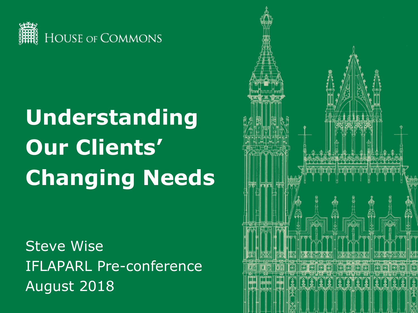

# **Understanding Our Clients' Changing Needs**

**Steve Wise** IFLAPARL Pre-conference August 2018

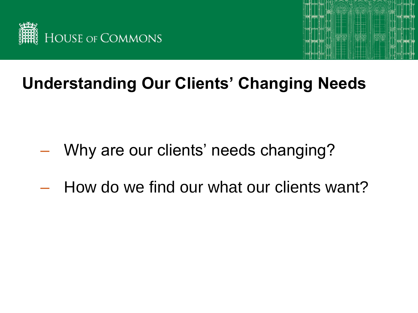



# **Understanding Our Clients' Changing Needs**

- Why are our clients' needs changing?
- How do we find our what our clients want?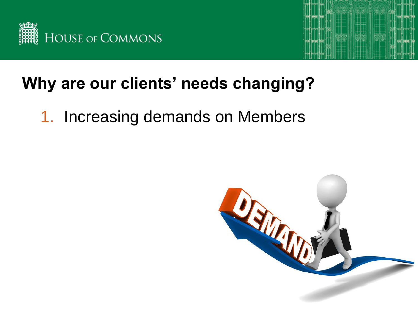



1. Increasing demands on Members

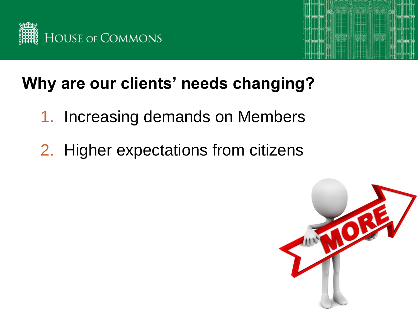



- 1. Increasing demands on Members
- 2. Higher expectations from citizens

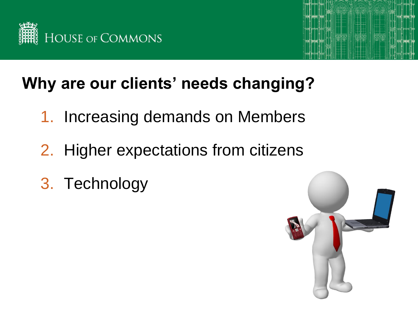



- 1. Increasing demands on Members
- 2. Higher expectations from citizens
- 3. Technology

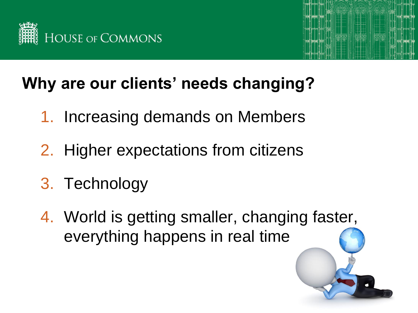



- 1. Increasing demands on Members
- 2. Higher expectations from citizens
- 3. Technology
- 4. World is getting smaller, changing faster, everything happens in real time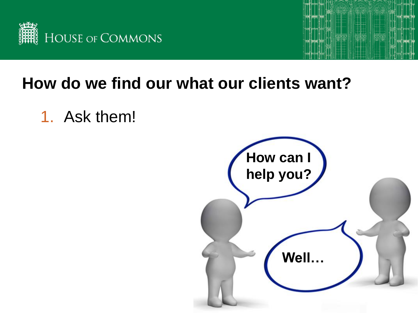



1. Ask them!

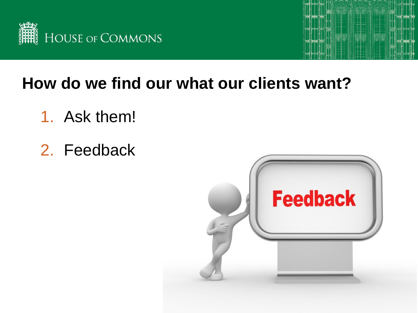



- 1. Ask them!
- 2. Feedback

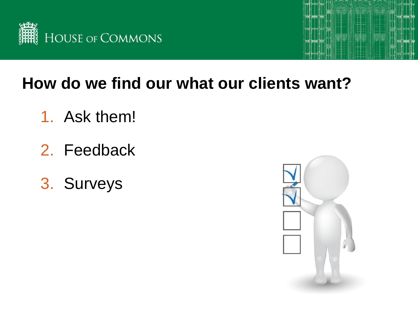



- 1. Ask them!
- 2. Feedback
- 3. Surveys

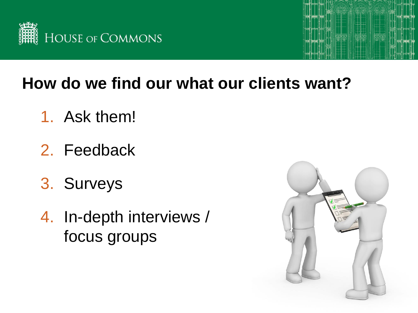



- 1. Ask them!
- 2. Feedback
- 3. Surveys
- 4. In-depth interviews / focus groups

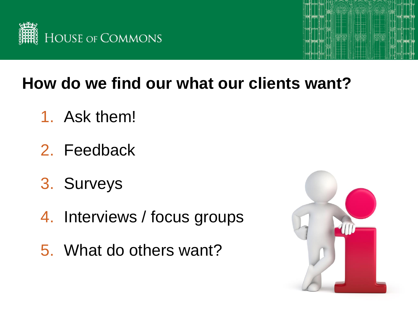



- 1. Ask them!
- 2. Feedback
- 3. Surveys
- 4. Interviews / focus groups
- 5. What do others want?

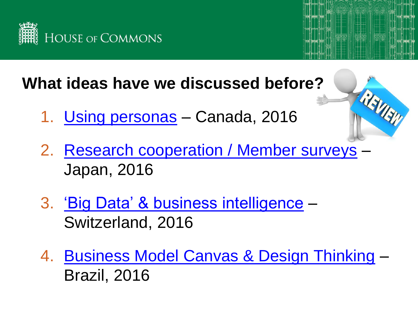

#### **What ideas have we discussed before?**

- 1. [Using personas](https://www.ifla.org/files/assets/services-for-parliaments/preconference/2016/brodie_presentation.pdf) Canada, 2016
- 2. [Research cooperation / Member surveys](https://www.ifla.org/files/assets/services-for-parliaments/preconference/2016/okuyama_presentation.pdf) Japan, 2016
- 3. ['Big Data' & business intelligence](https://www.ifla.org/files/assets/services-for-parliaments/preconference/2016/leuthold_presentation.pdf) Switzerland, 2016
- 4. [Business Model Canvas & Design Thinking](https://www.ifla.org/files/assets/services-for-parliaments/preconference/2016/furtado_presentation.pdf) Brazil, 2016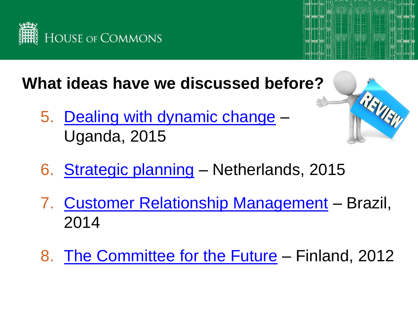

**What ideas have we discussed before?**

5. [Dealing with dynamic change](https://www.ifla.org/files/assets/services-for-parliaments/preconference/2015/25_francis-kintu_ppt.pdf) – Uganda, 2015



- 6. [Strategic planning](https://www.ifla.org/files/assets/services-for-parliaments/preconference/2015/29_keukens-lodder_ppt.pdf) Netherlands, 2015
- 7. [Customer Relationship Management](http://library.ifla.org/879/1/106-paiva-en.pdf) Brazil, 2014
- 8. [The Committee for the Future](https://www.ifla.org/files/assets/services-for-parliaments/preconference/2012/061preifla-2012-08-09-lipponen.pdf) Finland, 2012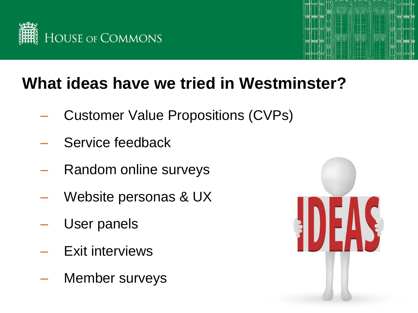



## **What ideas have we tried in Westminster?**

- Customer Value Propositions (CVPs)
- Service feedback
- Random online surveys
- Website personas & UX
- User panels
- Exit interviews
- Member surveys

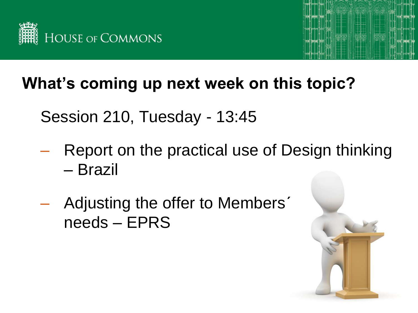



#### **What's coming up next week on this topic?**

Session 210, Tuesday - 13:45

- Report on the practical use of Design thinking – Brazil
- Adjusting the offer to Members' needs – EPRS

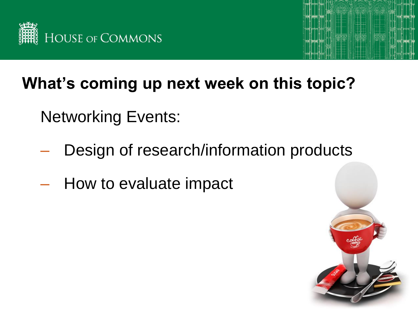



## **What's coming up next week on this topic?**

- Networking Events:
- Design of research/information products
- How to evaluate impact